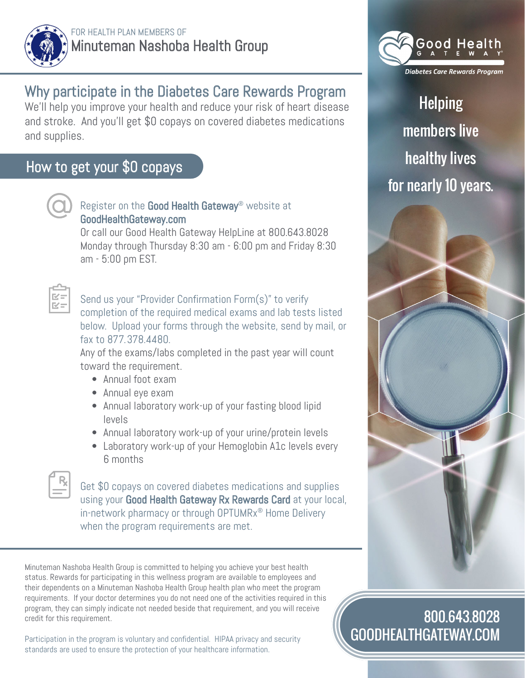

## Why participate in the Diabetes Care Rewards Program

We'll help you improve your health and reduce your risk of heart disease and stroke. And you'll get \$0 copays on covered diabetes medications and supplies.

## How to get your \$0 copays



## Register on the Good Health Gateway® website at GoodHealthGateway.com

Or call our Good Health Gateway HelpLine at 800.643.8028 Monday through Thursday 8:30 am - 6:00 pm and Friday 8:30 am - 5:00 pm EST.



Send us your "Provider Confirmation Form(s)" to verify completion of the required medical exams and lab tests listed below. Upload your forms through the website, send by mail, or fax to 877.378.4480.

Any of the exams/labs completed in the past year will count toward the requirement.

- Annual foot exam
- Annual eye exam
- Annual laboratory work-up of your fasting blood lipid levels
- Annual laboratory work-up of your urine/protein levels
- Laboratory work-up of your Hemoglobin A1c levels every 6 months



Get \$0 copays on covered diabetes medications and supplies using your Good Health Gateway Rx Rewards Card at your local, in-network pharmacy or through OPTUMRx® Home Delivery when the program requirements are met.

Minuteman Nashoba Health Group is committed to helping you achieve your best health status. Rewards for participating in this wellness program are available to employees and their dependents on a Minuteman Nashoba Health Group health plan who meet the program requirements. If your doctor determines you do not need one of the activities required in this program, they can simply indicate not needed beside that requirement, and you will receive credit for this requirement.

Participation in the program is voluntary and confidential. HIPAA privacy and security standards are used to ensure the protection of your healthcare information.



Helping members live healthy lives for nearly 10 years.



## 800.643.8028 GOODHEALTHGATEWAY.COM